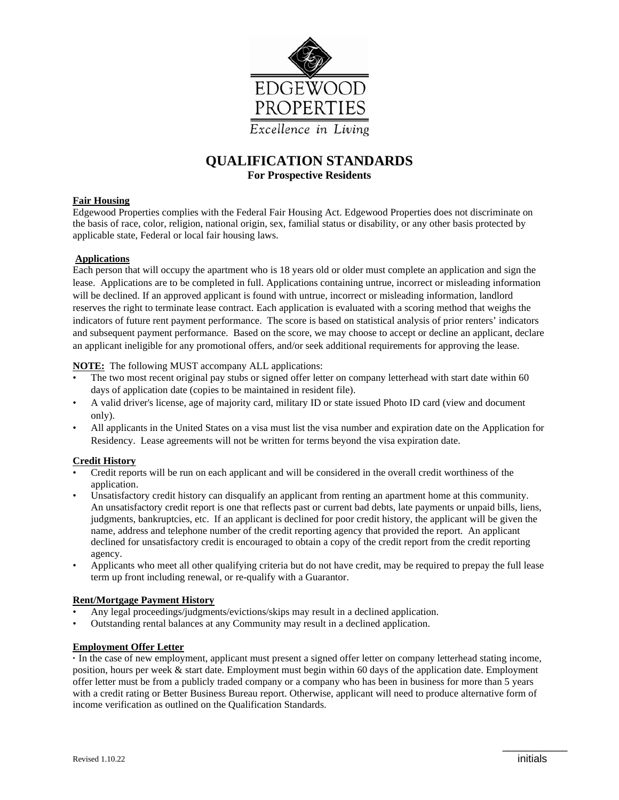

# **QUALIFICATION STANDARDS For Prospective Residents**

## **Fair Housing**

Edgewood Properties complies with the Federal Fair Housing Act. Edgewood Properties does not discriminate on the basis of race, color, religion, national origin, sex, familial status or disability, or any other basis protected by applicable state, Federal or local fair housing laws.

## **Applications**

Each person that will occupy the apartment who is 18 years old or older must complete an application and sign the lease. Applications are to be completed in full. Applications containing untrue, incorrect or misleading information will be declined. If an approved applicant is found with untrue, incorrect or misleading information, landlord reserves the right to terminate lease contract. Each application is evaluated with a scoring method that weighs the indicators of future rent payment performance. The score is based on statistical analysis of prior renters' indicators and subsequent payment performance. Based on the score, we may choose to accept or decline an applicant, declare an applicant ineligible for any promotional offers, and/or seek additional requirements for approving the lease.

**NOTE:** The following MUST accompany ALL applications:

- The two most recent original pay stubs or signed offer letter on company letterhead with start date within 60 days of application date (copies to be maintained in resident file).
- A valid driver's license, age of majority card, military ID or state issued Photo ID card (view and document only).
- All applicants in the United States on a visa must list the visa number and expiration date on the Application for Residency. Lease agreements will not be written for terms beyond the visa expiration date.

## **Credit History**

- Credit reports will be run on each applicant and will be considered in the overall credit worthiness of the application.
- Unsatisfactory credit history can disqualify an applicant from renting an apartment home at this community. An unsatisfactory credit report is one that reflects past or current bad debts, late payments or unpaid bills, liens, judgments, bankruptcies, etc. If an applicant is declined for poor credit history, the applicant will be given the name, address and telephone number of the credit reporting agency that provided the report. An applicant declined for unsatisfactory credit is encouraged to obtain a copy of the credit report from the credit reporting agency.
- Applicants who meet all other qualifying criteria but do not have credit, may be required to prepay the full lease term up front including renewal, or re-qualify with a Guarantor.

## **Rent/Mortgage Payment History**

- Any legal proceedings/judgments/evictions/skips may result in a declined application.
- Outstanding rental balances at any Community may result in a declined application.

## **Employment Offer Letter**

**·** In the case of new employment, applicant must present a signed offer letter on company letterhead stating income, position, hours per week & start date. Employment must begin within 60 days of the application date. Employment offer letter must be from a publicly traded company or a company who has been in business for more than 5 years with a credit rating or Better Business Bureau report. Otherwise, applicant will need to produce alternative form of income verification as outlined on the Qualification Standards.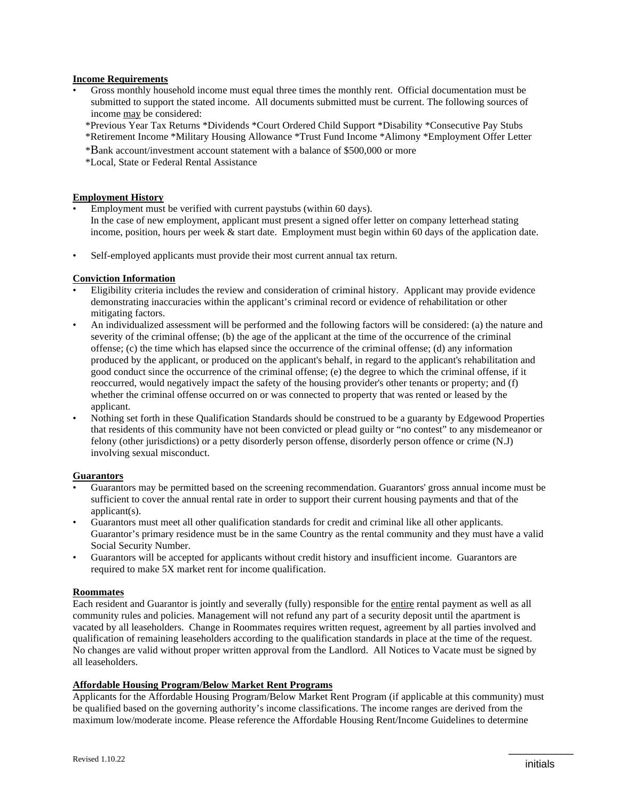#### **Income Requirements**

- Gross monthly household income must equal three times the monthly rent. Official documentation must be submitted to support the stated income. All documents submitted must be current. The following sources of income may be considered:
- \*Previous Year Tax Returns \*Dividends \*Court Ordered Child Support \*Disability \*Consecutive Pay Stubs \*Retirement Income \*Military Housing Allowance \*Trust Fund Income \*Alimony \*Employment Offer Letter
- \*Bank account/investment account statement with a balance of \$500,000 or more
- \*Local, State or Federal Rental Assistance

#### **Employment History**

- Employment must be verified with current paystubs (within 60 days). In the case of new employment, applicant must present a signed offer letter on company letterhead stating income, position, hours per week & start date. Employment must begin within 60 days of the application date.
- Self-employed applicants must provide their most current annual tax return.

#### **Conviction Information**

- Eligibility criteria includes the review and consideration of criminal history. Applicant may provide evidence demonstrating inaccuracies within the applicant's criminal record or evidence of rehabilitation or other mitigating factors.
- An individualized assessment will be performed and the following factors will be considered: (a) the nature and severity of the criminal offense; (b) the age of the applicant at the time of the occurrence of the criminal offense; (c) the time which has elapsed since the occurrence of the criminal offense; (d) any information produced by the applicant, or produced on the applicant's behalf, in regard to the applicant's rehabilitation and good conduct since the occurrence of the criminal offense; (e) the degree to which the criminal offense, if it reoccurred, would negatively impact the safety of the housing provider's other tenants or property; and (f) whether the criminal offense occurred on or was connected to property that was rented or leased by the applicant.
- Nothing set forth in these Qualification Standards should be construed to be a guaranty by Edgewood Properties that residents of this community have not been convicted or plead guilty or "no contest" to any misdemeanor or felony (other jurisdictions) or a petty disorderly person offense, disorderly person offence or crime (N.J) involving sexual misconduct.

## **Guarantors**

- Guarantors may be permitted based on the screening recommendation. Guarantors' gross annual income must be sufficient to cover the annual rental rate in order to support their current housing payments and that of the applicant(s).
- Guarantors must meet all other qualification standards for credit and criminal like all other applicants. Guarantor's primary residence must be in the same Country as the rental community and they must have a valid Social Security Number.
- Guarantors will be accepted for applicants without credit history and insufficient income. Guarantors are required to make 5X market rent for income qualification.

#### **Roommates**

Each resident and Guarantor is jointly and severally (fully) responsible for the entire rental payment as well as all community rules and policies. Management will not refund any part of a security deposit until the apartment is vacated by all leaseholders. Change in Roommates requires written request, agreement by all parties involved and qualification of remaining leaseholders according to the qualification standards in place at the time of the request. No changes are valid without proper written approval from the Landlord. All Notices to Vacate must be signed by all leaseholders.

#### **Affordable Housing Program/Below Market Rent Programs**

Applicants for the Affordable Housing Program/Below Market Rent Program (if applicable at this community) must be qualified based on the governing authority's income classifications. The income ranges are derived from the maximum low/moderate income. Please reference the Affordable Housing Rent/Income Guidelines to determine